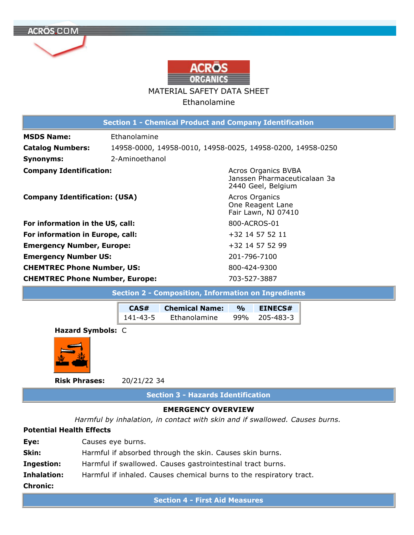

| <b>Section 1 - Chemical Product and Company Identification</b>   |                                |                                                                                  |  |  |
|------------------------------------------------------------------|--------------------------------|----------------------------------------------------------------------------------|--|--|
| <b>MSDS Name:</b><br><b>Catalog Numbers:</b><br><b>Synonyms:</b> | Ethanolamine<br>2-Aminoethanol | 14958-0000, 14958-0010, 14958-0025, 14958-0200, 14958-0250                       |  |  |
| <b>Company Identification:</b>                                   |                                | <b>Acros Organics BVBA</b><br>Janssen Pharmaceuticalaan 3a<br>2440 Geel, Belgium |  |  |
| <b>Company Identification: (USA)</b>                             |                                | <b>Acros Organics</b><br>One Reagent Lane<br>Fair Lawn, NJ 07410                 |  |  |
| For information in the US, call:                                 |                                | 800-ACROS-01                                                                     |  |  |
| For information in Europe, call:                                 |                                | +32 14 57 52 11                                                                  |  |  |
| <b>Emergency Number, Europe:</b>                                 |                                | +32 14 57 52 99                                                                  |  |  |
| <b>Emergency Number US:</b>                                      |                                | 201-796-7100                                                                     |  |  |
| <b>CHEMTREC Phone Number, US:</b>                                |                                | 800-424-9300                                                                     |  |  |
| <b>CHEMTREC Phone Number, Europe:</b>                            |                                | 703-527-3887                                                                     |  |  |

| <b>Section 2 - Composition, Information on Ingredients</b> |          |                       |               |                |
|------------------------------------------------------------|----------|-----------------------|---------------|----------------|
|                                                            | CAS#     | <b>Chemical Name:</b> | $\frac{1}{2}$ | <b>EINECS#</b> |
|                                                            | 141-43-5 | Ethanolamine          | 99%           | 205-483-3      |
| Hazard Symbols: C                                          |          |                       |               |                |



**Risk Phrases:** 20/21/22 34

**Section 3 - Hazards Identification** 

# **EMERGENCY OVERVIEW**

*Harmful by inhalation, in contact with skin and if swallowed. Causes burns.* 

# **Potential Health Effects**

| <b>Chronic:</b>   |                                                                     |
|-------------------|---------------------------------------------------------------------|
| Inhalation:       | Harmful if inhaled. Causes chemical burns to the respiratory tract. |
| <b>Ingestion:</b> | Harmful if swallowed. Causes gastrointestinal tract burns.          |
| Skin:             | Harmful if absorbed through the skin. Causes skin burns.            |
| Eye:              | Causes eye burns.                                                   |
|                   |                                                                     |

**Section 4 First Aid Measures**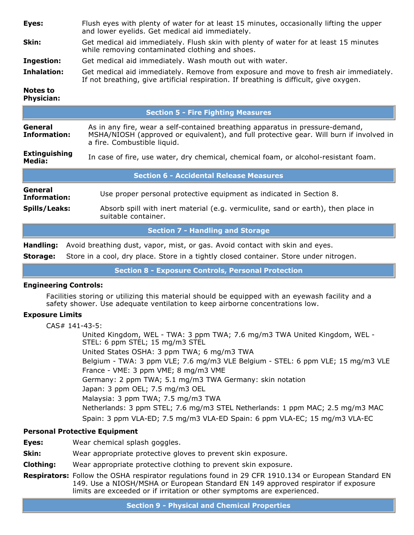| Eyes: | Flush eyes with plenty of water for at least 15 minutes, occasionally lifting the upper |
|-------|-----------------------------------------------------------------------------------------|
|       | and lower eyelids. Get medical aid immediately.                                         |

- **Skin:** Get medical aid immediately. Flush skin with plenty of water for at least 15 minutes while removing contaminated clothing and shoes.
- **Ingestion:** Get medical aid immediately. Wash mouth out with water.
- **Inhalation:** Get medical aid immediately. Remove from exposure and move to fresh air immediately. If not breathing, give artificial respiration. If breathing is difficult, give oxygen.

#### **Notes to Physician:**

|                                                                                                                                                                                                                                           | <b>Section 5 - Fire Fighting Measures</b>                                                                |  |  |  |  |
|-------------------------------------------------------------------------------------------------------------------------------------------------------------------------------------------------------------------------------------------|----------------------------------------------------------------------------------------------------------|--|--|--|--|
| General<br>As in any fire, wear a self-contained breathing apparatus in pressure-demand,<br>MSHA/NIOSH (approved or equivalent), and full protective gear. Will burn if involved in<br><b>Information:</b><br>a fire. Combustible liquid. |                                                                                                          |  |  |  |  |
| <b>Extinguishing</b><br>Media:                                                                                                                                                                                                            | In case of fire, use water, dry chemical, chemical foam, or alcohol-resistant foam.                      |  |  |  |  |
| <b>Section 6 - Accidental Release Measures</b>                                                                                                                                                                                            |                                                                                                          |  |  |  |  |
| General<br>Information:                                                                                                                                                                                                                   | Use proper personal protective equipment as indicated in Section 8.                                      |  |  |  |  |
| Spills/Leaks:                                                                                                                                                                                                                             | Absorb spill with inert material (e.g. vermiculite, sand or earth), then place in<br>suitable container. |  |  |  |  |
| <b>Section 7 - Handling and Storage</b>                                                                                                                                                                                                   |                                                                                                          |  |  |  |  |
| Avoid breathing dust, vapor, mist, or gas. Avoid contact with skin and eyes.<br>Handling:                                                                                                                                                 |                                                                                                          |  |  |  |  |

**Storage:** Store in a cool, dry place. Store in a tightly closed container. Store under nitrogen.

**Section 8 Exposure Controls, Personal Protection** 

## **Engineering Controls:**

Facilities storing or utilizing this material should be equipped with an eyewash facility and a safety shower. Use adequate ventilation to keep airborne concentrations low.

## **Exposure Limits**

 $CAS# 141-43-5$ :

United Kingdom, WEL - TWA: 3 ppm TWA; 7.6 mg/m3 TWA United Kingdom, WEL -STEL: 6 ppm STEL; 15 mg/m3 STEL United States OSHA: 3 ppm TWA; 6 mg/m3 TWA Belgium - TWA: 3 ppm VLE; 7.6 mg/m3 VLE Belgium - STEL: 6 ppm VLE; 15 mg/m3 VLE France VME: 3 ppm VME; 8 mg/m3 VME Germany: 2 ppm TWA; 5.1 mg/m3 TWA Germany: skin notation Japan: 3 ppm OEL; 7.5 mg/m3 OEL Malaysia: 3 ppm TWA; 7.5 mg/m3 TWA Netherlands: 3 ppm STEL; 7.6 mg/m3 STEL Netherlands: 1 ppm MAC; 2.5 mg/m3 MAC Spain: 3 ppm VLA-ED; 7.5 mg/m3 VLA-ED Spain: 6 ppm VLA-EC; 15 mg/m3 VLA-EC

## **Personal Protective Equipment**

- **Eyes:** Wear chemical splash goggles.
- **Skin:** Wear appropriate protective gloves to prevent skin exposure.
- **Clothing:** Wear appropriate protective clothing to prevent skin exposure.
- **Respirators:** Follow the OSHA respirator regulations found in 29 CFR 1910.134 or European Standard EN 149. Use a NIOSH/MSHA or European Standard EN 149 approved respirator if exposure limits are exceeded or if irritation or other symptoms are experienced.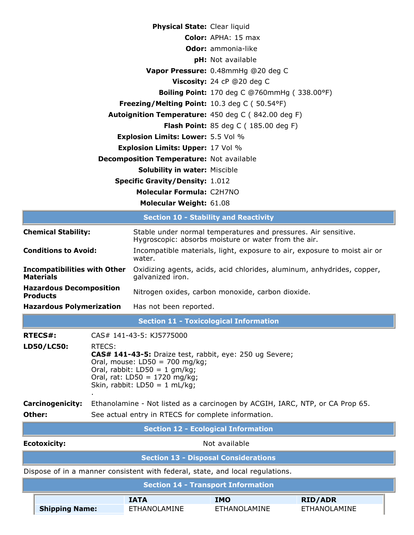| <b>Physical State: Clear liquid</b>                            |                                                     |
|----------------------------------------------------------------|-----------------------------------------------------|
|                                                                | <b>Color:</b> APHA: 15 max                          |
|                                                                | <b>Odor:</b> ammonia-like                           |
|                                                                | pH: Not available                                   |
|                                                                | Vapor Pressure: 0.48mmHq @20 deq C                  |
|                                                                | <b>Viscosity:</b> 24 cP $@20$ deg C                 |
|                                                                | <b>Boiling Point:</b> 170 deg C @760mmHg (338.00°F) |
| <b>Freezing/Melting Point:</b> 10.3 deg C ( $50.54^{\circ}F$ ) |                                                     |
| <b>Autoignition Temperature:</b> 450 deg C (842.00 deg F)      |                                                     |
|                                                                | <b>Flash Point:</b> 85 deg C ( $185.00$ deg F)      |
| <b>Explosion Limits: Lower: 5.5 Vol %</b>                      |                                                     |
| <b>Explosion Limits: Upper: 17 Vol %</b>                       |                                                     |
| <b>Decomposition Temperature: Not available</b>                |                                                     |
| <b>Solubility in water: Miscible</b>                           |                                                     |
| <b>Specific Gravity/Density: 1.012</b>                         |                                                     |
| Molecular Formula: C2H7NO                                      |                                                     |
| <b>Molecular Weight: 61.08</b>                                 |                                                     |
|                                                                |                                                     |

|                                             | <b>Section 10 - Stability and Reactivity</b>                                                             |                                                                                                                        |                                                                                                                                                                                                      |                                                                               |                                       |  |  |
|---------------------------------------------|----------------------------------------------------------------------------------------------------------|------------------------------------------------------------------------------------------------------------------------|------------------------------------------------------------------------------------------------------------------------------------------------------------------------------------------------------|-------------------------------------------------------------------------------|---------------------------------------|--|--|
| <b>Chemical Stability:</b>                  |                                                                                                          | Stable under normal temperatures and pressures. Air sensitive.<br>Hygroscopic: absorbs moisture or water from the air. |                                                                                                                                                                                                      |                                                                               |                                       |  |  |
|                                             | <b>Conditions to Avoid:</b>                                                                              |                                                                                                                        | water.                                                                                                                                                                                               | Incompatible materials, light, exposure to air, exposure to moist air or      |                                       |  |  |
|                                             | <b>Incompatibilities with Other</b><br><b>Materials</b>                                                  |                                                                                                                        | Oxidizing agents, acids, acid chlorides, aluminum, anhydrides, copper,<br>galvanized iron.                                                                                                           |                                                                               |                                       |  |  |
|                                             | <b>Hazardous Decomposition</b><br><b>Products</b>                                                        |                                                                                                                        | Nitrogen oxides, carbon monoxide, carbon dioxide.                                                                                                                                                    |                                                                               |                                       |  |  |
|                                             | <b>Hazardous Polymerization</b>                                                                          |                                                                                                                        | Has not been reported.                                                                                                                                                                               |                                                                               |                                       |  |  |
|                                             | <b>Section 11 - Toxicological Information</b>                                                            |                                                                                                                        |                                                                                                                                                                                                      |                                                                               |                                       |  |  |
|                                             | CAS# 141-43-5: KJ5775000<br><b>RTECS#:</b>                                                               |                                                                                                                        |                                                                                                                                                                                                      |                                                                               |                                       |  |  |
|                                             | LD50/LC50:                                                                                               | RTECS:                                                                                                                 | CAS# 141-43-5: Draize test, rabbit, eye: 250 ug Severe;<br>Oral, mouse: $LD50 = 700$ mg/kg;<br>Oral, rabbit: $LD50 = 1$ gm/kg;<br>Oral, rat: LD50 = $1720$ mg/kg;<br>Skin, rabbit: $LD50 = 1$ mL/kg; |                                                                               |                                       |  |  |
|                                             | <b>Carcinogenicity:</b><br>Ethanolamine - Not listed as a carcinogen by ACGIH, IARC, NTP, or CA Prop 65. |                                                                                                                        |                                                                                                                                                                                                      |                                                                               |                                       |  |  |
|                                             | Other:<br>See actual entry in RTECS for complete information.                                            |                                                                                                                        |                                                                                                                                                                                                      |                                                                               |                                       |  |  |
| <b>Section 12 - Ecological Information</b>  |                                                                                                          |                                                                                                                        |                                                                                                                                                                                                      |                                                                               |                                       |  |  |
| <b>Ecotoxicity:</b><br>Not available        |                                                                                                          |                                                                                                                        |                                                                                                                                                                                                      |                                                                               |                                       |  |  |
| <b>Section 13 - Disposal Considerations</b> |                                                                                                          |                                                                                                                        |                                                                                                                                                                                                      |                                                                               |                                       |  |  |
|                                             |                                                                                                          |                                                                                                                        |                                                                                                                                                                                                      | Dispose of in a manner consistent with federal, state, and local regulations. |                                       |  |  |
|                                             |                                                                                                          |                                                                                                                        |                                                                                                                                                                                                      | <b>Section 14 - Transport Information</b>                                     |                                       |  |  |
|                                             | <b>Shipping Name:</b>                                                                                    |                                                                                                                        | <b>IATA</b><br><b>ETHANOLAMINE</b>                                                                                                                                                                   | <b>IMO</b><br><b>ETHANOLAMINE</b>                                             | <b>RID/ADR</b><br><b>ETHANOLAMINE</b> |  |  |